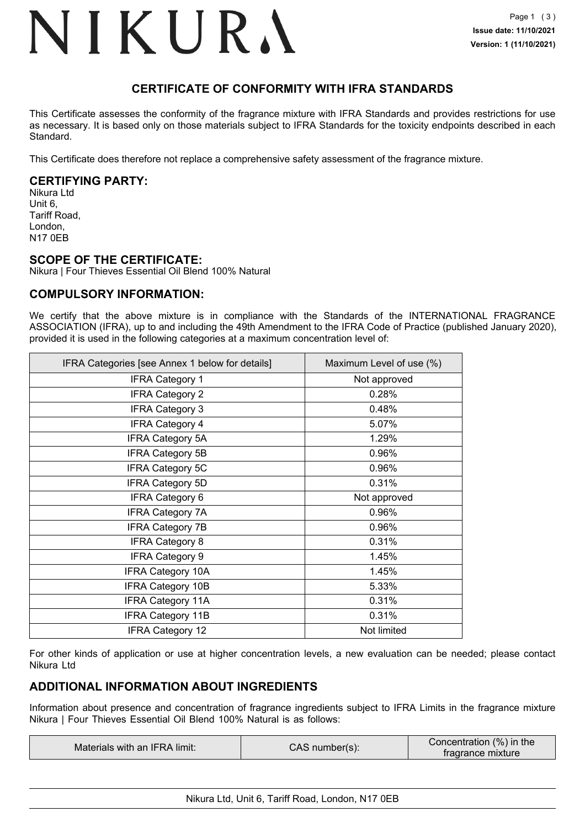### NIKURA

### **CERTIFICATE OF CONFORMITY WITH IFRA STANDARDS**

This Certificate assesses the conformity of the fragrance mixture with IFRA Standards and provides restrictions for use as necessary. It is based only on those materials subject to IFRA Standards for the toxicity endpoints described in each Standard.

This Certificate does therefore not replace a comprehensive safety assessment of the fragrance mixture.

#### **CERTIFYING PARTY:**

Nikura Ltd Unit 6, Tariff Road, London, N17 0EB

#### **SCOPE OF THE CERTIFICATE:**

Nikura | Four Thieves Essential Oil Blend 100% Natural

#### **COMPULSORY INFORMATION:**

We certify that the above mixture is in compliance with the Standards of the INTERNATIONAL FRAGRANCE ASSOCIATION (IFRA), up to and including the 49th Amendment to the IFRA Code of Practice (published January 2020), provided it is used in the following categories at a maximum concentration level of:

| IFRA Categories [see Annex 1 below for details] | Maximum Level of use (%) |
|-------------------------------------------------|--------------------------|
| <b>IFRA Category 1</b>                          | Not approved             |
| <b>IFRA Category 2</b>                          | 0.28%                    |
| <b>IFRA Category 3</b>                          | 0.48%                    |
| <b>IFRA Category 4</b>                          | 5.07%                    |
| <b>IFRA Category 5A</b>                         | 1.29%                    |
| <b>IFRA Category 5B</b>                         | 0.96%                    |
| <b>IFRA Category 5C</b>                         | 0.96%                    |
| <b>IFRA Category 5D</b>                         | 0.31%                    |
| <b>IFRA Category 6</b>                          | Not approved             |
| <b>IFRA Category 7A</b>                         | 0.96%                    |
| <b>IFRA Category 7B</b>                         | 0.96%                    |
| <b>IFRA Category 8</b>                          | 0.31%                    |
| <b>IFRA Category 9</b>                          | 1.45%                    |
| <b>IFRA Category 10A</b>                        | 1.45%                    |
| <b>IFRA Category 10B</b>                        | 5.33%                    |
| <b>IFRA Category 11A</b>                        | 0.31%                    |
| <b>IFRA Category 11B</b>                        | 0.31%                    |
| <b>IFRA Category 12</b>                         | Not limited              |

For other kinds of application or use at higher concentration levels, a new evaluation can be needed; please contact Nikura Ltd

#### **ADDITIONAL INFORMATION ABOUT INGREDIENTS**

Information about presence and concentration of fragrance ingredients subject to IFRA Limits in the fragrance mixture Nikura | Four Thieves Essential Oil Blend 100% Natural is as follows:

| Concentration (%) in the<br>Materials with an IFRA limit:<br>CAS number(s):<br>tragrance mixture |  |
|--------------------------------------------------------------------------------------------------|--|
|--------------------------------------------------------------------------------------------------|--|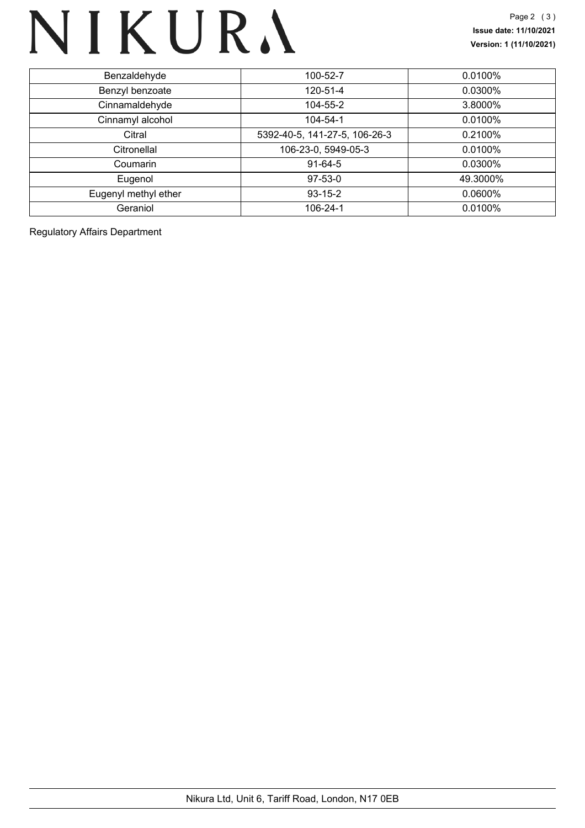## NIKURA

| Benzaldehyde         | 100-52-7                      | 0.0100%    |
|----------------------|-------------------------------|------------|
| Benzyl benzoate      | 120-51-4                      | 0.0300%    |
| Cinnamaldehyde       | 104-55-2                      | 3.8000%    |
| Cinnamyl alcohol     | 104-54-1                      | 0.0100%    |
| Citral               | 5392-40-5, 141-27-5, 106-26-3 | 0.2100%    |
| Citronellal          | 106-23-0, 5949-05-3           | 0.0100%    |
| Coumarin             | $91-64-5$                     | 0.0300%    |
| Eugenol              | $97-53-0$                     | 49.3000%   |
| Eugenyl methyl ether | $93 - 15 - 2$                 | $0.0600\%$ |
| Geraniol             | 106-24-1                      | 0.0100%    |

Regulatory Affairs Department